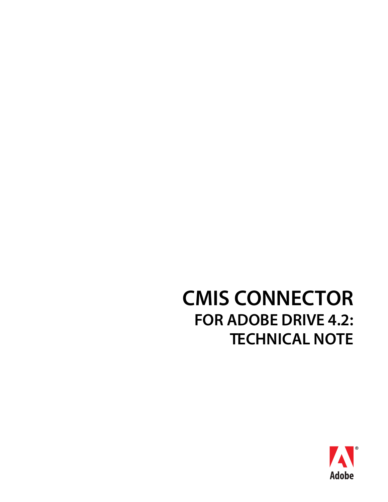# **CMIS CONNECTOR FOR ADOBE DRIVE 4.2: TECHNICAL NOTE**

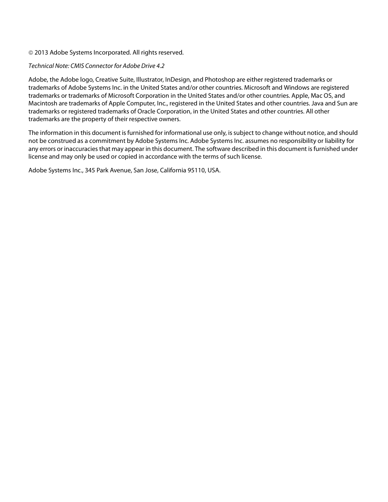#### © 2013 Adobe Systems Incorporated. All rights reserved.

#### Technical Note: CMIS Connector for Adobe Drive 4.2

Adobe, the Adobe logo, Creative Suite, Illustrator, InDesign, and Photoshop are either registered trademarks or trademarks of Adobe Systems Inc. in the United States and/or other countries. Microsoft and Windows are registered trademarks or trademarks of Microsoft Corporation in the United States and/or other countries. Apple, Mac OS, and Macintosh are trademarks of Apple Computer, Inc., registered in the United States and other countries. Java and Sun are trademarks or registered trademarks of Oracle Corporation, in the United States and other countries. All other trademarks are the property of their respective owners.

The information in this document is furnished for informational use only, is subject to change without notice, and should not be construed as a commitment by Adobe Systems Inc. Adobe Systems Inc. assumes no responsibility or liability for any errors or inaccuracies that may appear in this document. The software described in this document is furnished under license and may only be used or copied in accordance with the terms of such license.

Adobe Systems Inc., 345 Park Avenue, San Jose, California 95110, USA.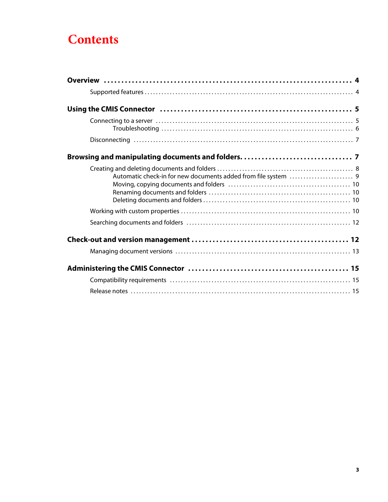# **Contents**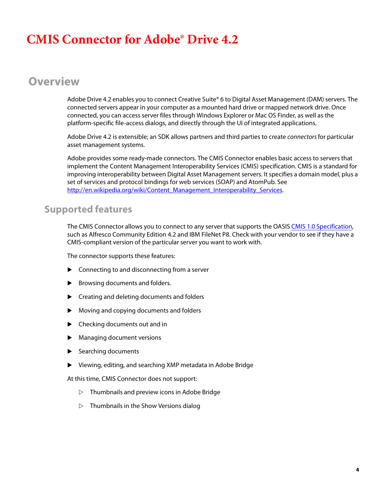# **CMIS Connector for Adobe® Drive 4.2**

# **Overview**

Adobe Drive 4.2 enables you to connect Creative Suite® 6 to Digital Asset Management (DAM) servers. The connected servers appear in your computer as a mounted hard drive or mapped network drive. Once connected, you can access server files through Windows Explorer or Mac OS Finder, as well as the platform-specific file-access dialogs, and directly through the UI of integrated applications.

Adobe Drive 4.2 is extensible; an SDK allows partners and third parties to create *connectors* for particular asset management systems.

Adobe provides some ready-made connectors. The CMIS Connector enables basic access to servers that implement the Content Management Interoperability Services (CMIS) specification. CMIS is a standard for improving interoperability between Digital Asset Management servers. It specifies a domain model, plus a set of services and protocol bindings for web services (SOAP) and AtomPub. See [http://en.wikipedia.org/wiki/Content\\_Management\\_Interoperability\\_Services.](http://en.wikipedia.org/wiki/Content_Management_Interoperability_Services)

### <span id="page-3-0"></span>**Supported features**

The CMIS Connector allows you to connect to any server that supports the OASIS [CMIS 1.0 Specification,](http://www.oasis-open.org/committees/tc_home.php?wg_abbrev=cmis) such as Alfresco Community Edition 4.2 and IBM FileNet P8. Check with your vendor to see if they have a CMIS-compliant version of the particular server you want to work with.

The connector supports these features:

- ▶ Connecting to and disconnecting from a server
- $\blacktriangleright$  Browsing documents and folders.
- ▶ Creating and deleting documents and folders
- Moving and copying documents and folders
- ▶ Checking documents out and in
- Managing document versions
- Searching documents
- Viewing, editing, and searching XMP metadata in Adobe Bridge

At this time, CMIS Connector does not support:

- $\triangleright$  Thumbnails and preview icons in Adobe Bridge
- $\triangleright$  Thumbnails in the Show Versions dialog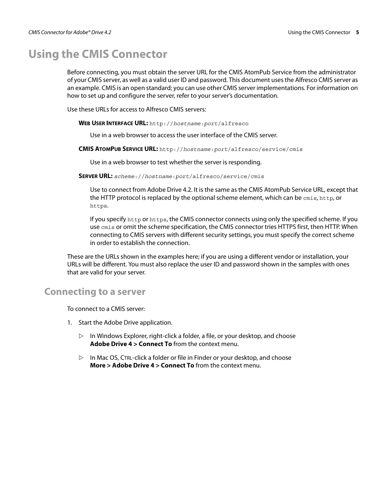# <span id="page-4-0"></span>**Using the CMIS Connector**

Before connecting, you must obtain the server URL for the CMIS AtomPub Service from the administrator of your CMIS server, as well as a valid user ID and password. This document uses the Alfresco CMIS server as an example. CMIS is an open standard; you can use other CMIS server implementations. For information on how to set up and configure the server, refer to your server's documentation.

Use these URLs for access to Alfresco CMIS servers:

**WEB USER INTERFACE URL:** http://hostname:port[/alfresco](http://hostname:port/alfresco)

Use in a web browser to access the user interface of the CMIS server.

**CMIS ATOMPUB SERVICE URL:** http://hostname:port[/alfresco/service/cmis](http://hostname:port/alfresco/service/cmis)

Use in a web browser to test whether the server is responding.

**SERVER URL:** scheme://hostname:port[/alfresco/service/cmis](scheme://hostname:port/alfresco/service/cmis)

Use to connect from Adobe Drive 4.2. It is the same as the CMIS AtomPub Service URL, except that the HTTP protocol is replaced by the optional scheme element, which can be cmis, http, or https.

If you specify http or https, the CMIS connector connects using only the specified scheme. If you use cmis or omit the scheme specification, the CMIS connector tries HTTPS first, then HTTP. When connecting to CMIS servers with different security settings, you must specify the correct scheme in order to establish the connection.

These are the URLs shown in the examples here; if you are using a different vendor or installation, your URLs will be different. You must also replace the user ID and password shown in the samples with ones that are valid for your server.

#### <span id="page-4-1"></span>**Connecting to a server**

To connect to a CMIS server:

- 1. Start the Adobe Drive application.
	- $\triangleright$  In Windows Explorer, right-click a folder, a file, or your desktop, and choose **Adobe Drive 4 > Connect To** from the context menu.
	- $\triangleright$  In Mac OS, CTRL-click a folder or file in Finder or your desktop, and choose **More > Adobe Drive 4 > Connect To** from the context menu.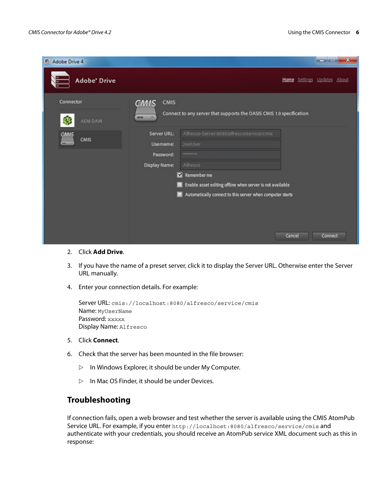

- 2. Click **Add Drive**.
- 3. If you have the name of a preset server, click it to display the Server URL. Otherwise enter the Server URL manually.
- 4. Enter your connection details. For example:

```
Server URL: cmis://localhost:8080/alfresco/service/cmis
Name: MyUserName
Password: xxxxx
Display Name: Alfresco
```
- 5. Click **Connect**.
- 6. Check that the server has been mounted in the file browser:
	- $\triangleright$  In Windows Explorer, it should be under My Computer.
	- $\triangleright$  In Mac OS Finder, it should be under Devices.

#### <span id="page-5-0"></span>**Troubleshooting**

If connection fails, open a web browser and test whether the server is available using the CMIS AtomPub Service URL. For example, if you enter <http://localhost:8080/alfresco/service/cmis> and authenticate with your credentials, you should receive an AtomPub service XML document such as this in response: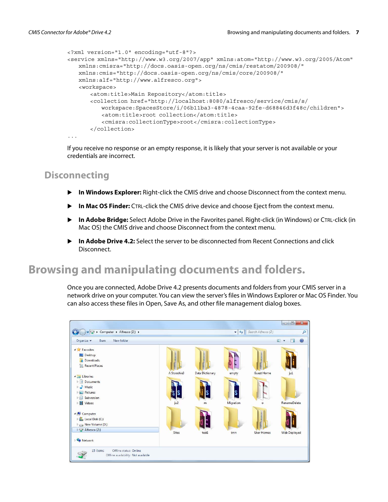```
<?xml version="1.0" encoding="utf-8"?> 
<service xmlns="http://www.w3.org/2007/app" xmlns:atom="http://www.w3.org/2005/Atom"
   xmlns:cmisra="http://docs.oasis-open.org/ns/cmis/restatom/200908/"
   xmlns:cmis="http://docs.oasis-open.org/ns/cmis/core/200908/"
   xmlns:alf="http://www.alfresco.org">
   <workspace>
      <atom:title>Main Repository</atom:title>
      <collection href="http://localhost:8080/alfresco/service/cmis/s/
          workspace:SpacesStore/i/06b11ba3-4878-4caa-92fe-d68846d3f48c/children"> 
          <atom:title>root collection</atom:title> 
          <cmisra:collectionType>root</cmisra:collectionType>
      </collection> 
...
```
If you receive no response or an empty response, it is likely that your server is not available or your credentials are incorrect.

### <span id="page-6-0"></span>**Disconnecting**

- **In Windows Explorer:** Right-click the CMIS drive and choose Disconnect from the context menu.
- **In Mac OS Finder:** CTRL-click the CMIS drive device and choose Eject from the context menu.
- **In Adobe Bridge:** Select Adobe Drive in the Favorites panel. Right-click (in Windows) or CTRL-click (in Mac OS) the CMIS drive and choose Disconnect from the context menu.
- **In Adobe Drive 4.2:** Select the server to be disconnected from Recent Connections and click Disconnect.

# <span id="page-6-1"></span>**Browsing and manipulating documents and folders.**

Once you are connected, Adobe Drive 4.2 presents documents and folders from your CMIS server in a network drive on your computer. You can view the server's files in Windows Explorer or Mac OS Finder. You can also access these files in Open, Save As, and other file management dialog boxes.

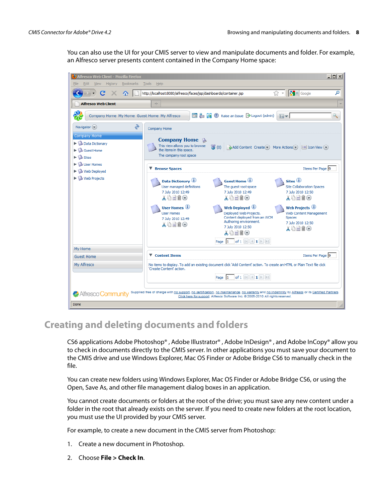You can also use the UI for your CMIS server to view and manipulate documents and folder. For example, an Alfresco server presents content contained in the Company Home space:



# <span id="page-7-0"></span>**Creating and deleting documents and folders**

CS6 applications Adobe Photoshop® , Adobe Illustrator® , Adobe InDesign® , and Adobe InCopy® allow you to check in documents directly to the CMIS server. In other applications you must save your document to the CMIS drive and use Windows Explorer, Mac OS Finder or Adobe Bridge CS6 to manually check in the file.

You can create new folders using Windows Explorer, Mac OS Finder or Adobe Bridge CS6, or using the Open, Save As, and other file management dialog boxes in an application.

You cannot create documents or folders at the root of the drive; you must save any new content under a folder in the root that already exists on the server. If you need to create new folders at the root location, you must use the UI provided by your CMIS server.

For example, to create a new document in the CMIS server from Photoshop:

- 1. Create a new document in Photoshop.
- 2. Choose **File > Check In**.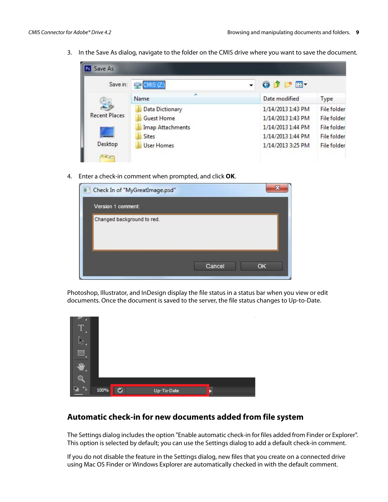3. In the Save As dialog, navigate to the folder on the CMIS drive where you want to save the document.

| Save in:             | CMIS (Z:)<br>$\Box$     | $O 1$ $1$ $1$     |                    |
|----------------------|-------------------------|-------------------|--------------------|
|                      | Name                    | Date modified     | Type               |
| <b>Recent Places</b> | Data Dictionary         | 1/14/2013 1:43 PM | <b>File folder</b> |
|                      | <b>Guest Home</b>       | 1/14/2013 1:43 PM | <b>File folder</b> |
|                      | <b>Imap Attachments</b> | 1/14/2013 1:44 PM | <b>File folder</b> |
|                      | <b>Sites</b>            | 1/14/2013 1:44 PM | <b>File folder</b> |
| Desktop              | <b>User Homes</b>       | 1/14/2013 3:25 PM | <b>File folder</b> |

4. Enter a check-in comment when prompted, and click **OK**.

| Check In of "MyGreatImage.psd" |        |    |
|--------------------------------|--------|----|
| Version 1 comment:             |        |    |
| Changed background to red.     |        |    |
|                                | Cancel | OK |

Photoshop, Illustrator, and InDesign display the file status in a status bar when you view or edit documents. Once the document is saved to the server, the file status changes to Up-to-Date.



#### <span id="page-8-0"></span>**Automatic check-in for new documents added from file system**

The Settings dialog includes the option "Enable automatic check-in for files added from Finder or Explorer". This option is selected by default; you can use the Settings dialog to add a default check-in comment.

If you do not disable the feature in the Settings dialog, new files that you create on a connected drive using Mac OS Finder or Windows Explorer are automatically checked in with the default comment.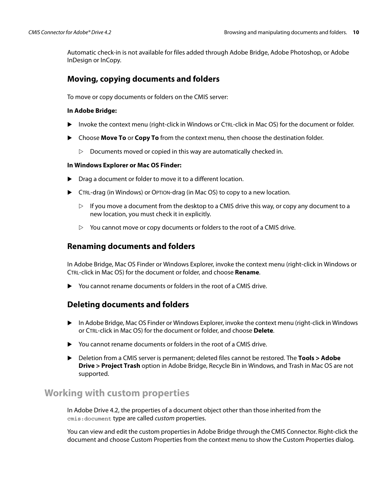Automatic check-in is not available for files added through Adobe Bridge, Adobe Photoshop, or Adobe InDesign or InCopy.

#### <span id="page-9-0"></span>**Moving, copying documents and folders**

To move or copy documents or folders on the CMIS server:

#### **In Adobe Bridge:**

- Invoke the context menu (right-click in Windows or CTRL-click in Mac OS) for the document or folder.
- Choose **Move To** or **Copy To** from the context menu, then choose the destination folder.
	- $\triangleright$  Documents moved or copied in this way are automatically checked in.

#### **In Windows Explorer or Mac OS Finder:**

- Drag a document or folder to move it to a different location.
- CTRL-drag (in Windows) or OPTION-drag (in Mac OS) to copy to a new location.
	- $\triangleright$  If you move a document from the desktop to a CMIS drive this way, or copy any document to a new location, you must check it in explicitly.
	- $\triangleright$  You cannot move or copy documents or folders to the root of a CMIS drive.

#### <span id="page-9-1"></span>**Renaming documents and folders**

In Adobe Bridge, Mac OS Finder or Windows Explorer, invoke the context menu (right-click in Windows or CTRL-click in Mac OS) for the document or folder, and choose **Rename**.

You cannot rename documents or folders in the root of a CMIS drive.

#### <span id="page-9-2"></span>**Deleting documents and folders**

- In Adobe Bridge, Mac OS Finder or Windows Explorer, invoke the context menu (right-click in Windows or CTRL-click in Mac OS) for the document or folder, and choose **Delete**.
- You cannot rename documents or folders in the root of a CMIS drive.
- Deletion from a CMIS server is permanent; deleted files cannot be restored. The **Tools > Adobe Drive > Project Trash** option in Adobe Bridge, Recycle Bin in Windows, and Trash in Mac OS are not supported.

### <span id="page-9-3"></span>**Working with custom properties**

In Adobe Drive 4.2, the properties of a document object other than those inherited from the cmis:document type are called custom properties.

You can view and edit the custom properties in Adobe Bridge through the CMIS Connector. Right-click the document and choose Custom Properties from the context menu to show the Custom Properties dialog.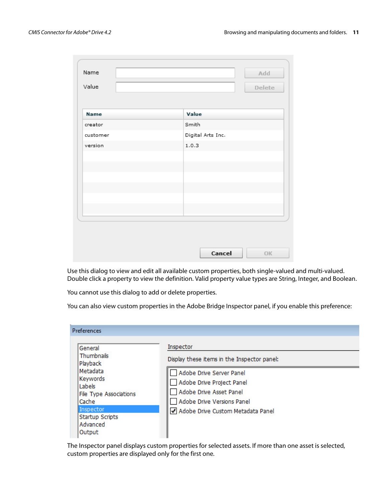| Name     | Add                 |
|----------|---------------------|
| Value    | Delete              |
|          |                     |
| Name     | Value               |
| creator  | Smith               |
| customer | Digital Arts Inc.   |
| version  | 1.0.3               |
|          |                     |
|          |                     |
|          |                     |
|          |                     |
|          |                     |
|          |                     |
|          |                     |
|          |                     |
|          |                     |
|          | Cancel<br><b>OK</b> |

Use this dialog to view and edit all available custom properties, both single-valued and multi-valued. Double click a property to view the definition. Valid property value types are String, Integer, and Boolean.

You cannot use this dialog to add or delete properties.

You can also view custom properties in the Adobe Bridge Inspector panel, if you enable this preference:

| Preferences                                                              |                                                                                                                |  |  |  |
|--------------------------------------------------------------------------|----------------------------------------------------------------------------------------------------------------|--|--|--|
| General<br>Thumbnails<br>Playback                                        | Inspector<br>Display these items in the Inspector panel:                                                       |  |  |  |
| Metadata<br>Keywords<br>Labels<br><b>File Type Associations</b><br>Cache | Adobe Drive Server Panel<br>Adobe Drive Project Panel<br>Adobe Drive Asset Panel<br>Adobe Drive Versions Panel |  |  |  |
| Inspector<br><b>Startup Scripts</b><br>Advanced<br>Output                | Adobe Drive Custom Metadata Panel                                                                              |  |  |  |

The Inspector panel displays custom properties for selected assets. If more than one asset is selected, custom properties are displayed only for the first one.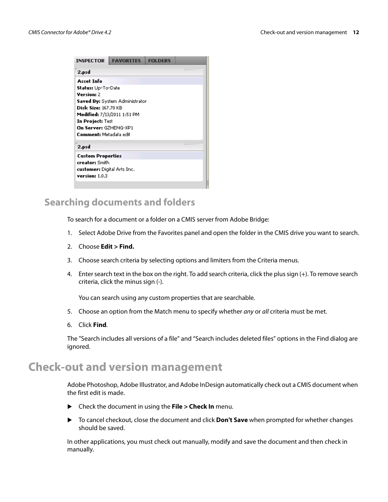| <b>INSPECTOR</b>                   | <b>FAVORITES</b>               | <b>FOLDERS</b> |  |  |
|------------------------------------|--------------------------------|----------------|--|--|
| 2.psd                              |                                |                |  |  |
| <b>Asset Info</b>                  |                                |                |  |  |
| Status: Up-To-Date                 |                                |                |  |  |
| Version: 2                         |                                |                |  |  |
|                                    | Saved By: System Administrator |                |  |  |
| <b>Disk Size: 167.70 KB</b>        |                                |                |  |  |
| <b>Modified:</b> 7/13/2011 1:51 PM |                                |                |  |  |
| In Project: Test                   |                                |                |  |  |
| On Server: GZHENG-XP1              |                                |                |  |  |
| Comment: Metadata edit             |                                |                |  |  |
| 2.psd                              |                                |                |  |  |
| <b>Custom Properties</b>           |                                |                |  |  |
| creator: Smith                     |                                |                |  |  |
| customer: Digital Arts Inc.        |                                |                |  |  |
| version: $1.0.3$                   |                                |                |  |  |
|                                    |                                |                |  |  |

### <span id="page-11-0"></span>**Searching documents and folders**

To search for a document or a folder on a CMIS server from Adobe Bridge:

- 1. Select Adobe Drive from the Favorites panel and open the folder in the CMIS drive you want to search.
- 2. Choose **Edit > Find.**
- 3. Choose search criteria by selecting options and limiters from the Criteria menus.
- 4. Enter search text in the box on the right. To add search criteria, click the plus sign (+). To remove search criteria, click the minus sign (-).

You can search using any custom properties that are searchable.

- 5. Choose an option from the Match menu to specify whether any or all criteria must be met.
- 6. Click **Find**.

The "Search includes all versions of a file" and "Search includes deleted files" options in the Find dialog are ignored.

# <span id="page-11-1"></span>**Check-out and version management**

Adobe Photoshop, Adobe Illustrator, and Adobe InDesign automatically check out a CMIS document when the first edit is made.

- Check the document in using the **File > Check In** menu.
- To cancel checkout, close the document and click **Don't Save** when prompted for whether changes should be saved.

In other applications, you must check out manually, modify and save the document and then check in manually.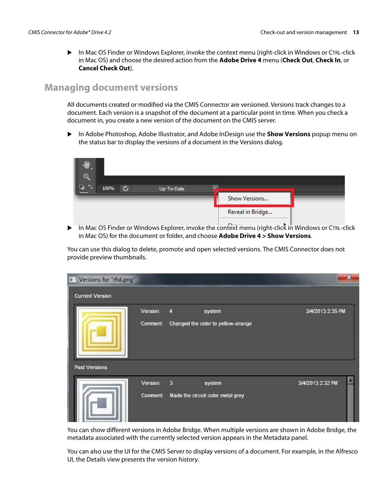In Mac OS Finder or Windows Explorer, invoke the context menu (right-click in Windows or CTRL-click in Mac OS) and choose the desired action from the **Adobe Drive 4** menu (**Check Out**, **Check In**, or **Cancel Check Out**).

### <span id="page-12-0"></span>**Managing document versions**

All documents created or modified via the CMIS Connector are versioned. Versions track changes to a document. Each version is a snapshot of the document at a particular point in time. When you check a document in, you create a new version of the document on the CMIS server.

 In Adobe Photoshop, Adobe Illustrator, and Adobe InDesign use the **Show Versions** popup menu on the status bar to display the versions of a document in the Versions dialog.



In Mac OS Finder or Windows Explorer, invoke the context menu (right-click in Windows or CTRL-click in Mac OS) for the document or folder, and choose **Adobe Drive 4 > Show Versions**.

You can use this dialog to delete, promote and open selected versions. The CMIS Connector does not provide preview thumbnails.

| Versions for "rfid.png"<br><b>FR</b> |                |        |                                    | $\mathbf x$      |
|--------------------------------------|----------------|--------|------------------------------------|------------------|
| <b>Current Version</b>               |                |        |                                    |                  |
|                                      | Version:       | 4      | system                             | 3/4/2013 2:35 PM |
|                                      | Comment:       |        | Changed the color to yellow-orange |                  |
| <b>Past Versions</b>                 |                |        |                                    |                  |
| Version:                             | $\overline{3}$ | system | 3/4/2013 2:32 PM                   |                  |
|                                      | Comment:       |        | Made the circuit color metal grey. |                  |

You can show different versions in Adobe Bridge. When multiple versions are shown in Adobe Bridge, the metadata associated with the currently selected version appears in the Metadata panel.

You can also use the UI for the CMIS Server to display versions of a document. For example, in the Alfresco UI, the Details view presents the version history.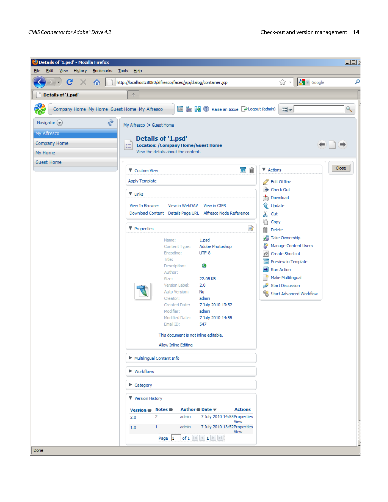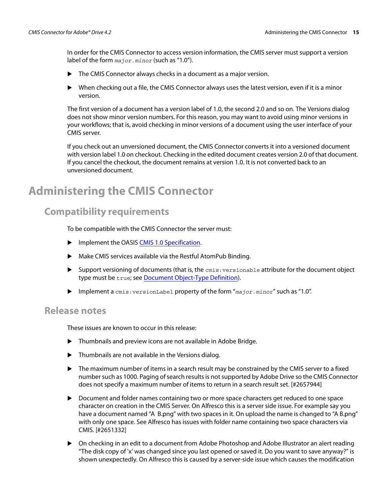In order for the CMIS Connector to access version information, the CMIS server must support a version label of the form  $_{major.minor}$  (such as "1.0").

- ▶ The CMIS Connector always checks in a document as a major version.
- $\triangleright$  When checking out a file, the CMIS Connector always uses the latest version, even if it is a minor version.

The first version of a document has a version label of 1.0, the second 2.0 and so on. The Versions dialog does not show minor version numbers. For this reason, you may want to avoid using minor versions in your workflows; that is, avoid checking in minor versions of a document using the user interface of your CMIS server.

If you check out an unversioned document, the CMIS Connector converts it into a versioned document with version label 1.0 on checkout. Checking in the edited document creates version 2.0 of that document. If you cancel the checkout, the document remains at version 1.0. It is not converted back to an unversioned document.

# <span id="page-14-0"></span>**Administering the CMIS Connector**

### <span id="page-14-1"></span>**Compatibility requirements**

To be compatible with the CMIS Connector the server must:

- **IMPLEMENTE INCORDITY IS NOT A THE IMPLEMENT IS A THE IMPLEMENT IS A THE IMPLEMENT IS A THE IMPLEMENT IS A THE I**
- Make CMIS services available via the Restful AtomPub Binding.
- $\triangleright$  Support versioning of documents (that is, the  $cmis:versionable$  attribute for the document object type must be true; see [Document Object-Type Definition](http://docs.oasis-open.org/cmis/CMIS/v1.0/cs01/cmis-spec-v1.0.html#_Toc243905396)).
- **Implement a** cmis: versionLabel property of the form "major. minor" such as "1.0".

#### <span id="page-14-2"></span>**Release notes**

These issues are known to occur in this release:

- Thumbnails and preview icons are not available in Adobe Bridge.
- Thumbnails are not available in the Versions dialog.
- ▶ The maximum number of items in a search result may be constrained by the CMIS server to a fixed number such as 1000. Paging of search results is not supported by Adobe Drive so the CMIS Connector does not specify a maximum number of items to return in a search result set. [#2657944]
- Document and folder names containing two or more space characters get reduced to one space character on creation in the CMIS Server. On Alfresco this is a server side issue. For example say you have a document named "A B.png" with two spaces in it. On upload the name is changed to "A B.png" with only one space. See Alfresco has issues with folder name containing two space characters via CMIS. [#2651332]
- On checking in an edit to a document from Adobe Photoshop and Adobe Illustrator an alert reading "The disk copy of 'x' was changed since you last opened or saved it. Do you want to save anyway?" is shown unexpectedly. On Alfresco this is caused by a server-side issue which causes the modification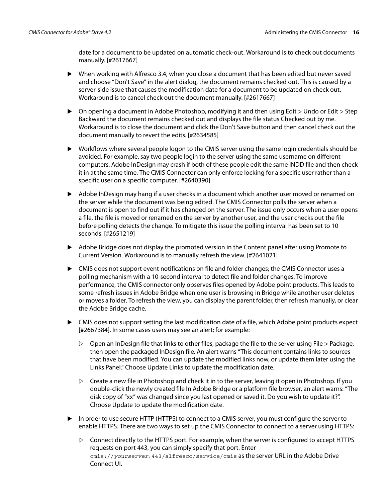date for a document to be updated on automatic check-out. Workaround is to check out documents manually. [#2617667]

- When working with Alfresco 3.4, when you close a document that has been edited but never saved and choose "Don't Save" in the alert dialog, the document remains checked out. This is caused by a server-side issue that causes the modification date for a document to be updated on check out. Workaround is to cancel check out the document manually. [#2617667]
- On opening a document in Adobe Photoshop, modifying it and then using Edit > Undo or Edit > Step Backward the document remains checked out and displays the file status Checked out by me. Workaround is to close the document and click the Don't Save button and then cancel check out the document manually to revert the edits. [#2634585]
- Workflows where several people logon to the CMIS server using the same login credentials should be avoided. For example, say two people login to the server using the same username on different computers. Adobe InDesign may crash if both of these people edit the same INDD file and then check it in at the same time. The CMIS Connector can only enforce locking for a specific user rather than a specific user on a specific computer. [#2640390]
- Adobe InDesign may hang if a user checks in a document which another user moved or renamed on the server while the document was being edited. The CMIS Connector polls the server when a document is open to find out if it has changed on the server. The issue only occurs when a user opens a file, the file is moved or renamed on the server by another user, and the user checks out the file before polling detects the change. To mitigate this issue the polling interval has been set to 10 seconds. [#2651219]
- Adobe Bridge does not display the promoted version in the Content panel after using Promote to Current Version. Workaround is to manually refresh the view. [#2641021]
- CMIS does not support event notifications on file and folder changes; the CMIS Connector uses a polling mechanism with a 10-second interval to detect file and folder changes. To improve performance, the CMIS connector only observes files opened by Adobe point products. This leads to some refresh issues in Adobe Bridge when one user is browsing in Bridge while another user deletes or moves a folder. To refresh the view, you can display the parent folder, then refresh manually, or clear the Adobe Bridge cache.
- $\triangleright$  CMIS does not support setting the last modification date of a file, which Adobe point products expect [#2667384]. In some cases users may see an alert; for example:
	- $\triangleright$  Open an InDesign file that links to other files, package the file to the server using File  $>$  Package, then open the packaged InDesign file. An alert warns "This document contains links to sources that have been modified. You can update the modified links now, or update them later using the Links Panel." Choose Update Links to update the modification date.
	- $\triangleright$  Create a new file in Photoshop and check it in to the server, leaving it open in Photoshop. If you double-click the newly created file In Adobe Bridge or a platform file browser, an alert warns: "The disk copy of "xx" was changed since you last opened or saved it. Do you wish to update it?". Choose Update to update the modification date.
- In order to use secure HTTP (HTTPS) to connect to a CMIS server, you must configure the server to enable HTTPS. There are two ways to set up the CMIS Connector to connect to a server using HTTPS:
	- $\triangleright$  Connect directly to the HTTPS port. For example, when the server is configured to accept HTTPS requests on port 443, you can simply specify that port. Enter cmis://yourserver[:443/alfresco/service/cmis](cmis://yourserver:443/alfresco/service/cmis) as the server URL in the Adobe Drive Connect UI.